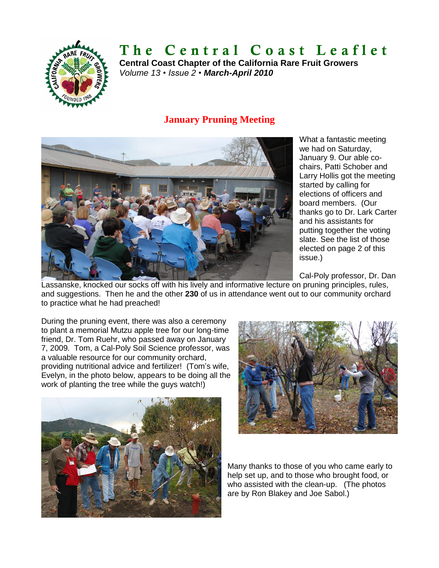

# **T h e C e n t r a l C o a s t L e a f l e t**

**Central Coast Chapter of the California Rare Fruit Growers** *Volume 13 • Issue 2 • March-April 2010*

## **January Pruning Meeting**



What a fantastic meeting we had on Saturday, January 9. Our able cochairs, Patti Schober and Larry Hollis got the meeting started by calling for elections of officers and board members. (Our thanks go to Dr. Lark Carter and his assistants for putting together the voting slate. See the list of those elected on page 2 of this issue.)

Cal-Poly professor, Dr. Dan

Lassanske, knocked our socks off with his lively and informative lecture on pruning principles, rules, and suggestions. Then he and the other **230** of us in attendance went out to our community orchard to practice what he had preached!

During the pruning event, there was also a ceremony to plant a memorial Mutzu apple tree for our long-time friend, Dr. Tom Ruehr, who passed away on January 7, 2009. Tom, a Cal-Poly Soil Science professor, was a valuable resource for our community orchard, providing nutritional advice and fertilizer! (Tom's wife, Evelyn, in the photo below, appears to be doing all the work of planting the tree while the guys watch!)





Many thanks to those of you who came early to help set up, and to those who brought food, or who assisted with the clean-up. (The photos are by Ron Blakey and Joe Sabol.)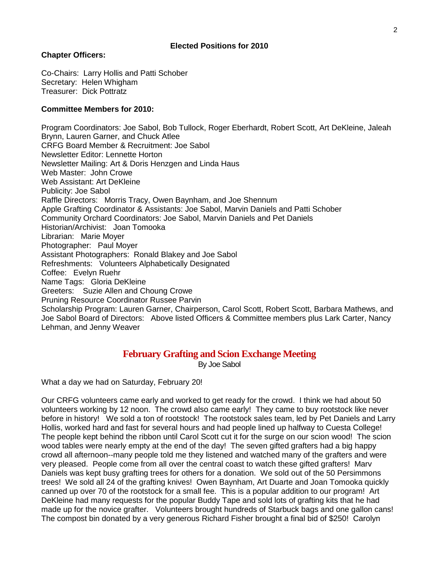#### **Chapter Officers:**

Co-Chairs: Larry Hollis and Patti Schober Secretary: Helen Whigham Treasurer: Dick Pottratz

#### **Committee Members for 2010:**

Program Coordinators: Joe Sabol, Bob Tullock, Roger Eberhardt, Robert Scott, Art DeKleine, Jaleah Brynn, Lauren Garner, and Chuck Atlee CRFG Board Member & Recruitment: Joe Sabol Newsletter Editor: Lennette Horton Newsletter Mailing: Art & Doris Henzgen and Linda Haus Web Master: John Crowe Web Assistant: Art DeKleine Publicity: Joe Sabol Raffle Directors: Morris Tracy, Owen Baynham, and Joe Shennum Apple Grafting Coordinator & Assistants: Joe Sabol, Marvin Daniels and Patti Schober Community Orchard Coordinators: Joe Sabol, Marvin Daniels and Pet Daniels Historian/Archivist: Joan Tomooka Librarian: Marie Moyer Photographer: Paul Moyer Assistant Photographers: Ronald Blakey and Joe Sabol Refreshments: Volunteers Alphabetically Designated Coffee: Evelyn Ruehr Name Tags: Gloria DeKleine Greeters: Suzie Allen and Choung Crowe Pruning Resource Coordinator Russee Parvin Scholarship Program: Lauren Garner, Chairperson, Carol Scott, Robert Scott, Barbara Mathews, and Joe Sabol Board of Directors: Above listed Officers & Committee members plus Lark Carter, Nancy Lehman, and Jenny Weaver

### **February Grafting and Scion Exchange Meeting**

By Joe Sabol

What a day we had on Saturday, February 20!

Our CRFG volunteers came early and worked to get ready for the crowd. I think we had about 50 volunteers working by 12 noon. The crowd also came early! They came to buy rootstock like never before in history! We sold a ton of rootstock! The rootstock sales team, led by Pet Daniels and Larry Hollis, worked hard and fast for several hours and had people lined up halfway to Cuesta College! The people kept behind the ribbon until Carol Scott cut it for the surge on our scion wood! The scion wood tables were nearly empty at the end of the day! The seven gifted grafters had a big happy crowd all afternoon--many people told me they listened and watched many of the grafters and were very pleased. People come from all over the central coast to watch these gifted grafters! Marv Daniels was kept busy grafting trees for others for a donation. We sold out of the 50 Persimmons trees! We sold all 24 of the grafting knives! Owen Baynham, Art Duarte and Joan Tomooka quickly canned up over 70 of the rootstock for a small fee. This is a popular addition to our program! Art DeKleine had many requests for the popular Buddy Tape and sold lots of grafting kits that he had made up for the novice grafter. Volunteers brought hundreds of Starbuck bags and one gallon cans! The compost bin donated by a very generous Richard Fisher brought a final bid of \$250! Carolyn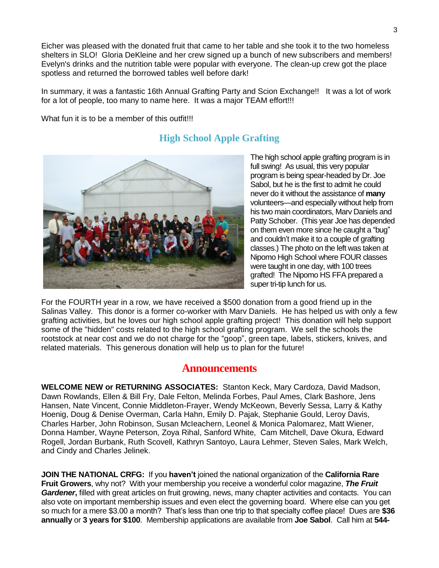Eicher was pleased with the donated fruit that came to her table and she took it to the two homeless shelters in SLO! Gloria DeKleine and her crew signed up a bunch of new subscribers and members! Evelyn's drinks and the nutrition table were popular with everyone. The clean-up crew got the place spotless and returned the borrowed tables well before dark!

In summary, it was a fantastic 16th Annual Grafting Party and Scion Exchange!! It was a lot of work for a lot of people, too many to name here. It was a major TEAM effort!!!

What fun it is to be a member of this outfit!!!



## **High School Apple Grafting**

The high school apple grafting program is in full swing! As usual, this very popular program is being spear-headed by Dr. Joe Sabol, but he is the first to admit he could never do it without the assistance of **many** volunteers—and especially without help from his two main coordinators, Marv Daniels and Patty Schober. (This year Joe has depended on them even more since he caught a "bug" and couldn't make it to a couple of grafting classes.) The photo on the left was taken at Nipomo High School where FOUR classes were taught in one day, with 100 trees grafted! The Nipomo HS FFA prepared a super tri-tip lunch for us.

For the FOURTH year in a row, we have received a \$500 donation from a good friend up in the Salinas Valley. This donor is a former co-worker with Marv Daniels. He has helped us with only a few grafting activities, but he loves our high school apple grafting project! This donation will help support some of the "hidden" costs related to the high school grafting program. We sell the schools the rootstock at near cost and we do not charge for the "goop", green tape, labels, stickers, knives, and related materials. This generous donation will help us to plan for the future!

## **Announcements**

**WELCOME NEW or RETURNING ASSOCIATES:** Stanton Keck, Mary Cardoza, David Madson, Dawn Rowlands, Ellen & Bill Fry, Dale Felton, Melinda Forbes, Paul Ames, Clark Bashore, Jens Hansen, Nate Vincent, Connie Middleton-Frayer, Wendy McKeown, Beverly Sessa, Larry & Kathy Hoenig, Doug & Denise Overman, Carla Hahn, Emily D. Pajak, Stephanie Gould, Leroy Davis, Charles Harber, John Robinson, Susan McIeachern, Leonel & Monica Palomarez, Matt Wiener, Donna Hamber, Wayne Peterson, Zoya Rihal, Sanford White, Cam Mitchell, Dave Okura, Edward Rogell, Jordan Burbank, Ruth Scovell, Kathryn Santoyo, Laura Lehmer, Steven Sales, Mark Welch, and Cindy and Charles Jelinek.

**JOIN THE NATIONAL CRFG:** If you **haven't** joined the national organization of the **California Rare Fruit Growers**, why not? With your membership you receive a wonderful color magazine, *The Fruit Gardener*, filled with great articles on fruit growing, news, many chapter activities and contacts. You can also vote on important membership issues and even elect the governing board. Where else can you get so much for a mere \$3.00 a month? That's less than one trip to that specialty coffee place! Dues are **\$36 annually** or **3 years for \$100**. Membership applications are available from **Joe Sabol**. Call him at **544-**